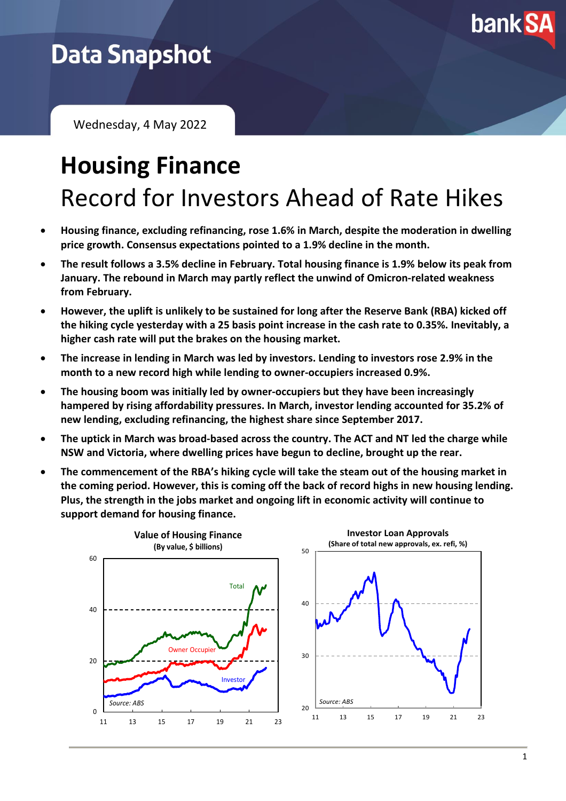

## **Data Snapshot**

Wednesday, 4 May 2022

# **Housing Finance** Record for Investors Ahead of Rate Hikes

- **Housing finance, excluding refinancing, rose 1.6% in March, despite the moderation in dwelling price growth. Consensus expectations pointed to a 1.9% decline in the month.**
- **The result follows a 3.5% decline in February. Total housing finance is 1.9% below its peak from January. The rebound in March may partly reflect the unwind of Omicron-related weakness from February.**
- **However, the uplift is unlikely to be sustained for long after the Reserve Bank (RBA) kicked off the hiking cycle yesterday with a 25 basis point increase in the cash rate to 0.35%. Inevitably, a higher cash rate will put the brakes on the housing market.**
- **The increase in lending in March was led by investors. Lending to investors rose 2.9% in the month to a new record high while lending to owner-occupiers increased 0.9%.**
- **The housing boom was initially led by owner-occupiers but they have been increasingly hampered by rising affordability pressures. In March, investor lending accounted for 35.2% of new lending, excluding refinancing, the highest share since September 2017.**
- **The uptick in March was broad-based across the country. The ACT and NT led the charge while NSW and Victoria, where dwelling prices have begun to decline, brought up the rear.**
- **The commencement of the RBA's hiking cycle will take the steam out of the housing market in the coming period. However, this is coming off the back of record highs in new housing lending. Plus, the strength in the jobs market and ongoing lift in economic activity will continue to support demand for housing finance.**

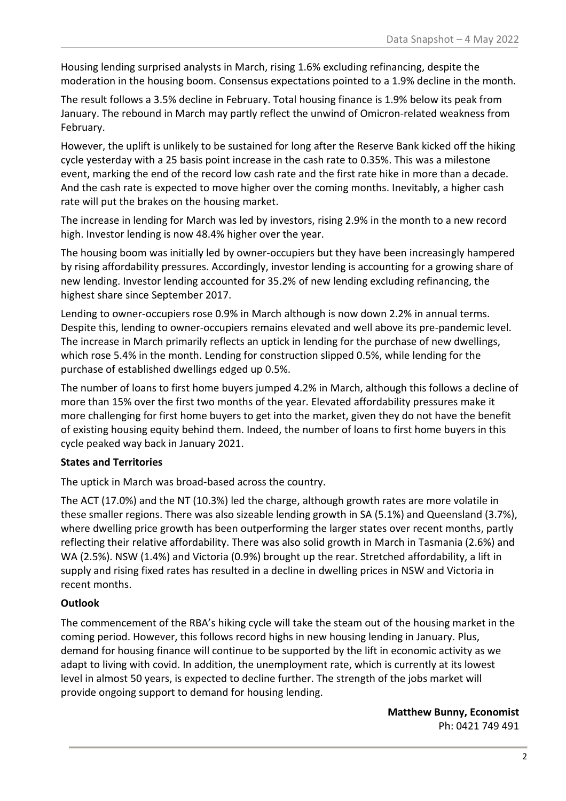Housing lending surprised analysts in March, rising 1.6% excluding refinancing, despite the moderation in the housing boom. Consensus expectations pointed to a 1.9% decline in the month.

The result follows a 3.5% decline in February. Total housing finance is 1.9% below its peak from January. The rebound in March may partly reflect the unwind of Omicron-related weakness from February.

However, the uplift is unlikely to be sustained for long after the Reserve Bank kicked off the hiking cycle yesterday with a 25 basis point increase in the cash rate to 0.35%. This was a milestone event, marking the end of the record low cash rate and the first rate hike in more than a decade. And the cash rate is expected to move higher over the coming months. Inevitably, a higher cash rate will put the brakes on the housing market.

The increase in lending for March was led by investors, rising 2.9% in the month to a new record high. Investor lending is now 48.4% higher over the year.

The housing boom was initially led by owner-occupiers but they have been increasingly hampered by rising affordability pressures. Accordingly, investor lending is accounting for a growing share of new lending. Investor lending accounted for 35.2% of new lending excluding refinancing, the highest share since September 2017.

Lending to owner-occupiers rose 0.9% in March although is now down 2.2% in annual terms. Despite this, lending to owner-occupiers remains elevated and well above its pre-pandemic level. The increase in March primarily reflects an uptick in lending for the purchase of new dwellings, which rose 5.4% in the month. Lending for construction slipped 0.5%, while lending for the purchase of established dwellings edged up 0.5%.

The number of loans to first home buyers jumped 4.2% in March, although this follows a decline of more than 15% over the first two months of the year. Elevated affordability pressures make it more challenging for first home buyers to get into the market, given they do not have the benefit of existing housing equity behind them. Indeed, the number of loans to first home buyers in this cycle peaked way back in January 2021.

#### **States and Territories**

The uptick in March was broad-based across the country.

The ACT (17.0%) and the NT (10.3%) led the charge, although growth rates are more volatile in these smaller regions. There was also sizeable lending growth in SA (5.1%) and Queensland (3.7%), where dwelling price growth has been outperforming the larger states over recent months, partly reflecting their relative affordability. There was also solid growth in March in Tasmania (2.6%) and WA (2.5%). NSW (1.4%) and Victoria (0.9%) brought up the rear. Stretched affordability, a lift in supply and rising fixed rates has resulted in a decline in dwelling prices in NSW and Victoria in recent months.

#### **Outlook**

The commencement of the RBA's hiking cycle will take the steam out of the housing market in the coming period. However, this follows record highs in new housing lending in January. Plus, demand for housing finance will continue to be supported by the lift in economic activity as we adapt to living with covid. In addition, the unemployment rate, which is currently at its lowest level in almost 50 years, is expected to decline further. The strength of the jobs market will provide ongoing support to demand for housing lending.

> **Matthew Bunny, Economist** Ph: 0421 749 491